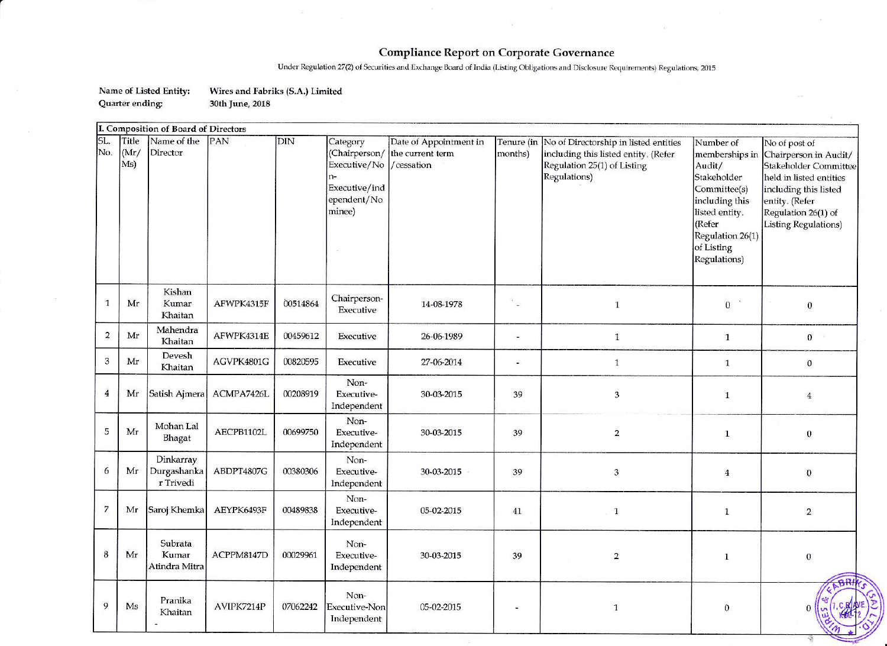## **Compliance Report on Corporate Governance**

Under Regulation 27(2) of Securities and Exchange Board of India (Listing Obligations and Disclosure Requirements) Regulations, 2015

Name of Listed Entity: Wires and Fabriks (S.A.) Limited Quarter ending: 30th June, 2018

|                | I. Composition of Board of Directors |                                       |            |          |                                                                     |                                                                        |                       |                                                                                                                              |                                                                                                                                                                      |                                                                                                                                                                                             |
|----------------|--------------------------------------|---------------------------------------|------------|----------|---------------------------------------------------------------------|------------------------------------------------------------------------|-----------------------|------------------------------------------------------------------------------------------------------------------------------|----------------------------------------------------------------------------------------------------------------------------------------------------------------------|---------------------------------------------------------------------------------------------------------------------------------------------------------------------------------------------|
| SL.<br>No.     | Title<br>(Mr/<br>Ms)                 | Name of the<br>Director               | PAN        | $DIN$    | Category<br>Executive/No<br>Executive/ind<br>ependent/No.<br>minee) | Date of Appointment in<br>(Chairperson/ the current term<br>/cessation | Tenure (in<br>months) | No of Directorship in listed entities<br>including this listed entity. (Refer<br>Regulation 25(1) of Listing<br>Regulations) | Number of<br>memberships in<br>Audit/<br>Stakeholder<br>Committee(s)<br>including this<br>listed entity.<br>(Refer<br>Regulation 26(1)<br>of Listing<br>Regulations) | No of post of<br>Chairperson in Audit/<br>Stakeholder Committee<br>held in listed entities<br>including this listed<br>entity. (Refer<br>Regulation 26(1) of<br><b>Listing Regulations)</b> |
| $\overline{1}$ | Mr                                   | Kishan<br>Kumar<br>Khaitan            | AFWPK4315F | 00514864 | Chairperson-<br>Executive                                           | 14-08-1978                                                             | r.                    | $\mathbf{1}$                                                                                                                 | $\bf{0}$                                                                                                                                                             | $\boldsymbol{0}$                                                                                                                                                                            |
| $\overline{2}$ | Mr                                   | Mahendra<br>Khaitan                   | AFWPK4314E | 00459612 | Executive                                                           | 26-06-1989                                                             | a,                    | $\mathbf 1$                                                                                                                  | $\mathbf{1}$                                                                                                                                                         | $\mathbf{0}$<br>- 222                                                                                                                                                                       |
| 3              | Mr                                   | Devesh<br>Khaitan                     | AGVPK4801G | 00820595 | Executive                                                           | 27-06-2014                                                             |                       | $\mathbf{1}$                                                                                                                 | $\mathbf{1}$                                                                                                                                                         | $\boldsymbol{0}$                                                                                                                                                                            |
| $\overline{4}$ | Mr                                   | Satish Ajmera                         | ACMPA7426L | 00208919 | Non-<br>Executive-<br>Independent                                   | 30-03-2015                                                             | 39                    | 3                                                                                                                            | $\mathbf{1}$                                                                                                                                                         | $\overline{4}$                                                                                                                                                                              |
| 5              | Mr                                   | Mohan Lal<br>Bhagat                   | AECPB1102L | 00699750 | Non-<br>Executive-<br>Independent                                   | 30-03-2015                                                             | 39                    | $\overline{\mathbf{c}}$                                                                                                      | $\mathbf{1}$                                                                                                                                                         | $\boldsymbol{0}$                                                                                                                                                                            |
| 6              | Mr                                   | Dinkarray<br>Durgashanka<br>r Trivedi | ABDPT4807G | 00380306 | Non-<br>Executive-<br>Independent                                   | 30-03-2015                                                             | 39                    | 3                                                                                                                            | $\overline{4}$                                                                                                                                                       | $\boldsymbol{0}$                                                                                                                                                                            |
| $\overline{7}$ | Mr                                   | Saroj Khemka                          | AEYPK6493F | 00489838 | Non-<br>Executive-<br>Independent                                   | 05-02-2015                                                             | 41                    | $\mathbf{1}$                                                                                                                 | $\mathbf{1}$                                                                                                                                                         | $\sqrt{2}$                                                                                                                                                                                  |
| $\bf{8}$       | Mr                                   | Subrata<br>Kumar<br>Atindra Mitra     | ACPPM8147D | 00029961 | Non-<br>Executive-<br>Independent                                   | 30-03-2015                                                             | 39                    | $\mathbf 2$                                                                                                                  | $\mathbf{1}$                                                                                                                                                         | $\bf{0}$                                                                                                                                                                                    |
| 9              | Ms                                   | Pranika<br>Khaitan                    | AVIPK7214P | 07062242 | Non-<br>Executive-Non<br>Independent                                | 05-02-2015                                                             |                       | $\mathbf{1}$                                                                                                                 | $\bf{0}$                                                                                                                                                             |                                                                                                                                                                                             |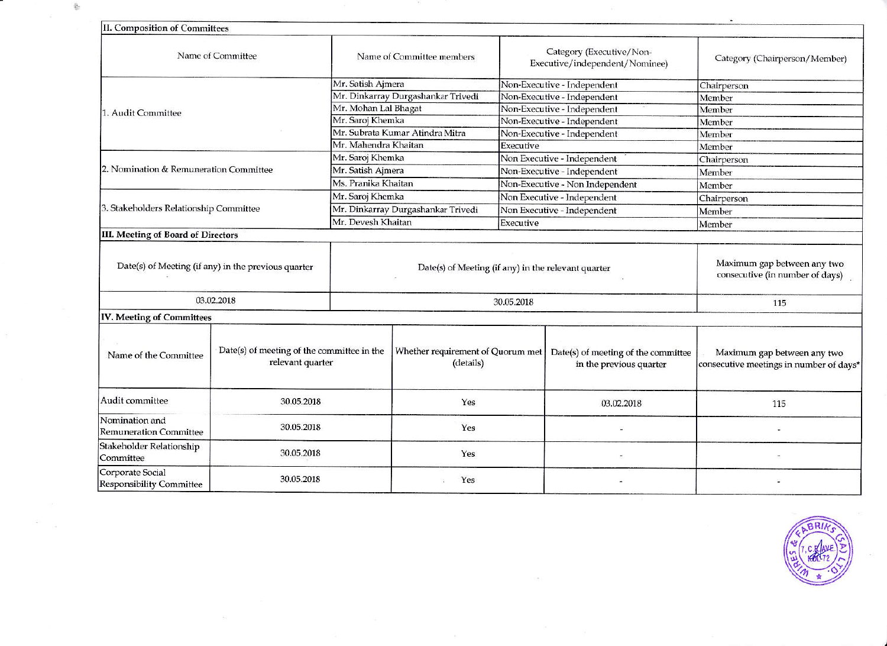| <b>II. Composition of Committees</b>                                                    |                                                     |                                                     |                                                            |                                 |                                                                |                                                                        |  |
|-----------------------------------------------------------------------------------------|-----------------------------------------------------|-----------------------------------------------------|------------------------------------------------------------|---------------------------------|----------------------------------------------------------------|------------------------------------------------------------------------|--|
|                                                                                         |                                                     |                                                     |                                                            |                                 |                                                                |                                                                        |  |
| Name of Committee                                                                       | Name of Committee members                           |                                                     | Category (Executive/Non-<br>Executive/independent/Nominee) |                                 | Category (Chairperson/Member)                                  |                                                                        |  |
|                                                                                         |                                                     | Mr. Satish Ajmera                                   |                                                            | Non-Executive - Independent     |                                                                | Chairperson                                                            |  |
|                                                                                         |                                                     | Mr. Dinkarray Durgashankar Trivedi                  |                                                            | Non-Executive - Independent     |                                                                | Member                                                                 |  |
| 1. Audit Committee                                                                      |                                                     | Mr. Mohan Lal Bhagat                                |                                                            | Non-Executive - Independent     |                                                                | Member                                                                 |  |
|                                                                                         |                                                     | Mr. Saroj Khemka                                    |                                                            | Non-Executive - Independent     |                                                                | Member                                                                 |  |
|                                                                                         |                                                     | Mr. Subrata Kumar Atindra Mitra                     |                                                            | Non-Executive - Independent     |                                                                | Member                                                                 |  |
|                                                                                         |                                                     | Mr. Mahendra Khaitan                                |                                                            | Executive                       |                                                                | Member                                                                 |  |
|                                                                                         |                                                     | Mr. Saroj Khemka                                    |                                                            | Non Executive - Independent     |                                                                | Chairperson                                                            |  |
| 2. Nomination & Remuneration Committee                                                  |                                                     | Mr. Satish Ajmera                                   |                                                            | Non-Executive - Independent     |                                                                | Member                                                                 |  |
|                                                                                         |                                                     | Ms. Pranika Khaitan                                 |                                                            | Non-Executive - Non Independent |                                                                | Member                                                                 |  |
|                                                                                         |                                                     | Mr. Saroj Khemka                                    |                                                            | Non Executive - Independent     |                                                                | Chairperson                                                            |  |
| 3. Stakeholders Relationship Committee                                                  |                                                     | Mr. Dinkarray Durgashankar Trivedi                  |                                                            | Non Executive - Independent     |                                                                | Member                                                                 |  |
|                                                                                         |                                                     | Mr. Devesh Khaitan                                  |                                                            | Executive                       |                                                                | Member                                                                 |  |
| III. Meeting of Board of Directors                                                      |                                                     |                                                     |                                                            |                                 |                                                                |                                                                        |  |
|                                                                                         | Date(s) of Meeting (if any) in the previous quarter | Date(s) of Meeting (if any) in the relevant quarter |                                                            |                                 |                                                                | Maximum gap between any two<br>consecutive (in number of days)         |  |
|                                                                                         | 03.02.2018                                          | 30.05.2018                                          |                                                            |                                 |                                                                | 115                                                                    |  |
| IV. Meeting of Committees                                                               |                                                     |                                                     |                                                            |                                 |                                                                |                                                                        |  |
| Date(s) of meeting of the committee in the<br>Name of the Committee<br>relevant quarter |                                                     |                                                     | Whether requirement of Quorum met<br>(details)             |                                 | Date(s) of meeting of the committee<br>in the previous quarter | Maximum gap between any two<br>consecutive meetings in number of days* |  |
| Audit committee<br>30.05.2018                                                           |                                                     | Yes                                                 |                                                            |                                 | 03.02.2018                                                     | 115                                                                    |  |
| Nomination and<br>30.05.2018<br><b>Remuneration Committee</b>                           |                                                     |                                                     | Yes                                                        |                                 |                                                                |                                                                        |  |
| Stakeholder Relationship<br>Committee                                                   | 30.05.2018                                          |                                                     | Yes                                                        |                                 |                                                                |                                                                        |  |
| Corporate Social<br>Responsibility Committee                                            | 30.05.2018                                          |                                                     | Yes                                                        |                                 |                                                                |                                                                        |  |

 $\mathcal{O}(1)$ 

 $\frac{d\mathbf{r}}{dt}$ 

 $\mathcal{L}$  $\frac{1}{2}$ 

 $\sim$